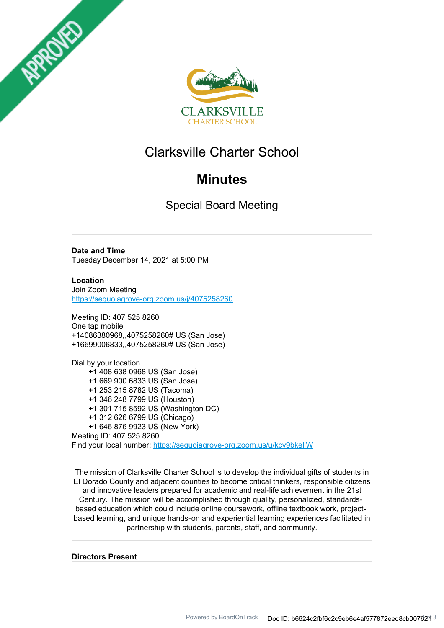



# Clarksville Charter School

# **Minutes**

Special Board Meeting

**Date and Time** Tuesday December 14, 2021 at 5:00 PM

**Location** Join Zoom Meeting https://sequoiagrove-org.zoom.us/j/4075258260

Meeting ID: 407 525 8260 One tap mobile +14086380968,,4075258260# US (San Jose) +16699006833,,4075258260# US (San Jose)

Dial by your location +1 408 638 0968 US (San Jose) +1 669 900 6833 US (San Jose) +1 253 215 8782 US (Tacoma) +1 346 248 7799 US (Houston) +1 301 715 8592 US (Washington DC) +1 312 626 6799 US (Chicago) +1 646 876 9923 US (New York) Meeting ID: 407 525 8260 Find your local number: https://sequoiagrove-org.zoom.us/u/kcv9bkellW

The mission of Clarksville Charter School is to develop the individual gifts of students in El Dorado County and adjacent counties to become critical thinkers, responsible citizens and innovative leaders prepared for academic and real-life achievement in the 21st Century. The mission will be accomplished through quality, personalized, standardsbased education which could include online coursework, offline textbook work, projectbased learning, and unique hands‐on and experiential learning experiences facilitated in partnership with students, parents, staff, and community.

**Directors Present**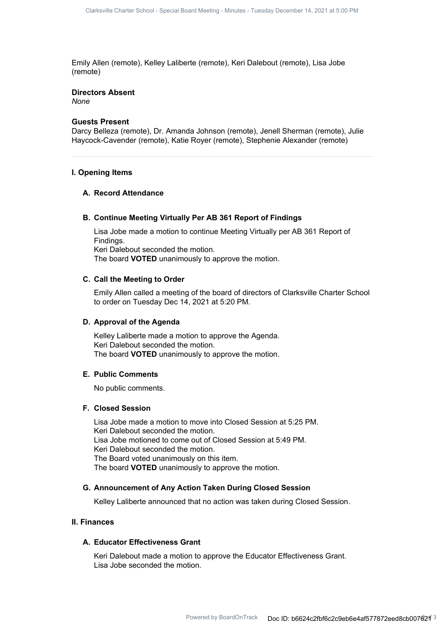Emily Allen (remote), Kelley Laliberte (remote), Keri Dalebout (remote), Lisa Jobe (remote)

### **Directors Absent**

*None*

#### **Guests Present**

Darcy Belleza (remote), Dr. Amanda Johnson (remote), Jenell Sherman (remote), Julie Haycock-Cavender (remote), Katie Royer (remote), Stephenie Alexander (remote)

#### **I. Opening Items**

### **A. Record Attendance**

#### **B. Continue Meeting Virtually Per AB 361 Report of Findings**

Lisa Jobe made a motion to continue Meeting Virtually per AB 361 Report of Findings. Keri Dalebout seconded the motion. The board **VOTED** unanimously to approve the motion.

#### **C. Call the Meeting to Order**

Emily Allen called a meeting of the board of directors of Clarksville Charter School to order on Tuesday Dec 14, 2021 at 5:20 PM.

#### **D. Approval of the Agenda**

Kelley Laliberte made a motion to approve the Agenda. Keri Dalebout seconded the motion. The board **VOTED** unanimously to approve the motion.

#### **E. Public Comments**

No public comments.

#### **F. Closed Session**

Lisa Jobe made a motion to move into Closed Session at 5:25 PM. Keri Dalebout seconded the motion. Lisa Jobe motioned to come out of Closed Session at 5:49 PM. Keri Dalebout seconded the motion. The Board voted unanimously on this item. The board **VOTED** unanimously to approve the motion.

### **G. Announcement of Any Action Taken During Closed Session**

Kelley Laliberte announced that no action was taken during Closed Session.

## **II. Finances**

#### **A. Educator Effectiveness Grant**

Keri Dalebout made a motion to approve the Educator Effectiveness Grant. Lisa Jobe seconded the motion.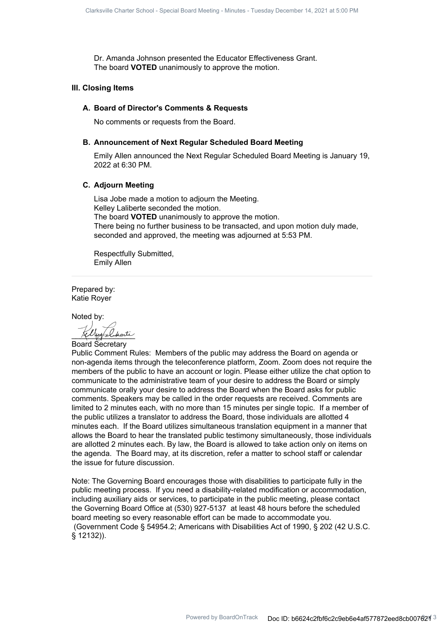Dr. Amanda Johnson presented the Educator Effectiveness Grant. The board **VOTED** unanimously to approve the motion.

#### **III. Closing Items**

#### **A. Board of Director's Comments & Requests**

No comments or requests from the Board.

#### **B. Announcement of Next Regular Scheduled Board Meeting**

Emily Allen announced the Next Regular Scheduled Board Meeting is January 19, 2022 at 6:30 PM.

#### **C. Adjourn Meeting**

Lisa Jobe made a motion to adjourn the Meeting. Kelley Laliberte seconded the motion. The board **VOTED** unanimously to approve the motion. There being no further business to be transacted, and upon motion duly made, seconded and approved, the meeting was adjourned at 5:53 PM.

Respectfully Submitted, Emily Allen

Prepared by: Katie Royer

Noted by:

 $_\mathrm{katt}$ 

Board Secretary

Public Comment Rules: Members of the public may address the Board on agenda or non-agenda items through the teleconference platform, Zoom. Zoom does not require the members of the public to have an account or login. Please either utilize the chat option to communicate to the administrative team of your desire to address the Board or simply communicate orally your desire to address the Board when the Board asks for public comments. Speakers may be called in the order requests are received. Comments are limited to 2 minutes each, with no more than 15 minutes per single topic. If a member of the public utilizes a translator to address the Board, those individuals are allotted 4 minutes each. If the Board utilizes simultaneous translation equipment in a manner that allows the Board to hear the translated public testimony simultaneously, those individuals are allotted 2 minutes each. By law, the Board is allowed to take action only on items on the agenda. The Board may, at its discretion, refer a matter to school staff or calendar the issue for future discussion.

Note: The Governing Board encourages those with disabilities to participate fully in the public meeting process. If you need a disability-related modification or accommodation, including auxiliary aids or services, to participate in the public meeting, please contact the Governing Board Office at (530) 927-5137 at least 48 hours before the scheduled board meeting so every reasonable effort can be made to accommodate you. (Government Code § 54954.2; Americans with Disabilities Act of 1990, § 202 (42 U.S.C. § 12132)).